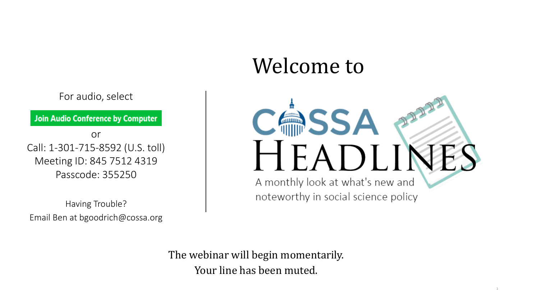Welcome to



For audio, select

Join Audio Conference by Computer

or Call: 1-301-715-8592 (U.S. toll) Meeting ID: 845 7512 4319 Passcode: 355250

Having Trouble? Email Ben at bgoodrich@cossa.org

> The webinar will begin momentarily. Your line has been muted.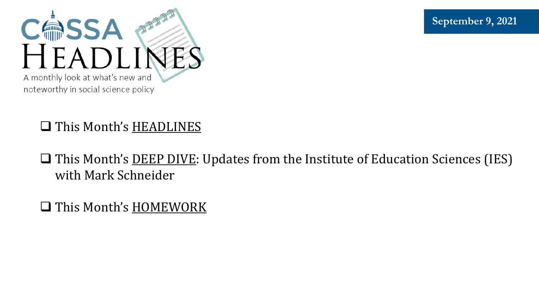



## □ This Month's HEADLINES

❑ This Month's DEEP DIVE: Updates from the Institute of Education Sciences (IES) with Mark Schneider

❑ This Month's HOMEWORK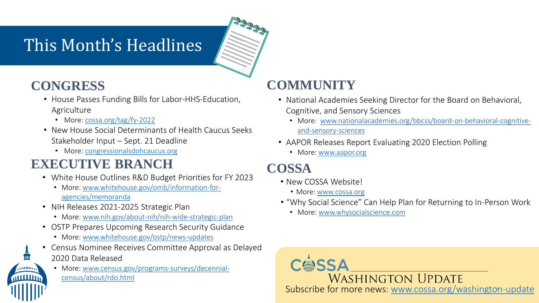# This Month's Headlines

#### **CONGRESS**

- House Passes Funding Bills for Labor-HHS-Education, Agriculture
	- More: [cossa.org/tag/fy-2022](https://cossa.org/tag/fy-2022/)
- New House Social Determinants of Health Caucus Seeks Stakeholder Input – Sept. 21 Deadline
	- More: [congressionalsdohcaucus.org](https://congressionalsdohcaucus.org/)

## **EXECUTIVE BRANCH**

- White House Outlines R&D Budget Priorities for FY 2023
	- [More: www.whitehouse.gov/omb/information-for](http://www.whitehouse.gov/omb/information-for-agencies/memoranda/)agencies/memoranda
- NIH Releases 2021-2025 Strategic Plan
	- More: [www.nih.gov/about-nih/nih-wide-strategic-plan](http://www.nih.gov/about-nih/nih-wide-strategic-plan)
- OSTP Prepares Upcoming Research Security Guidance
	- More: [www.whitehouse.gov/ostp/news-updates](http://www.whitehouse.gov/ostp/news-updates)
- Census Nominee Receives Committee Approval as Delayed 2020 Data Released
	- [More: www.census.gov/programs-surveys/decennial](http://www.census.gov/programs-surveys/decennial-census/about/rdo.html)census/about/rdo.html

## **COMMUNITY**

- National Academies Seeking Director for the Board on Behavioral, Cognitive, and Sensory Sciences
	- [More: www.nationalacademies.org/bbcss/board-on-behavioral-cognitive](http://www.nationalacademies.org/bbcss/board-on-behavioral-cognitive-and-sensory-sciences)and-sensory-sciences
- AAPOR Releases Report Evaluating 2020 Election Polling
	- More: [www.aapor.org](http://www.aapor.org/AAPOR_Main/media/MainSiteFiles/AAPOR-Task-Force-on-2020-Pre-Election-Polling_Report-FNL.pdf)

## **COSSA**

- New COSSA Website!
	- More: [www.cossa.org](http://www.cossa.org/)
- "Why Social Science" Can Help Plan for Returning to In-Person Work
	- More: [www.whysocialscience.com](http://www.whysocialscience.com/)



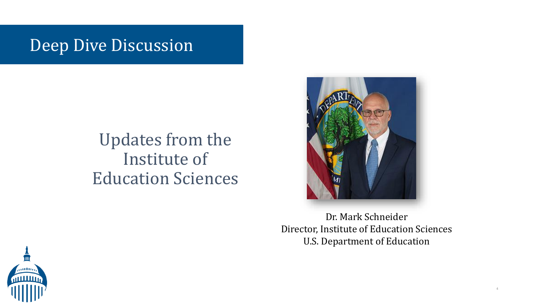## Deep Dive Discussion

## Updates from the Institute of Education Sciences



Dr. Mark Schneider Director, Institute of Education Sciences U.S. Department of Education

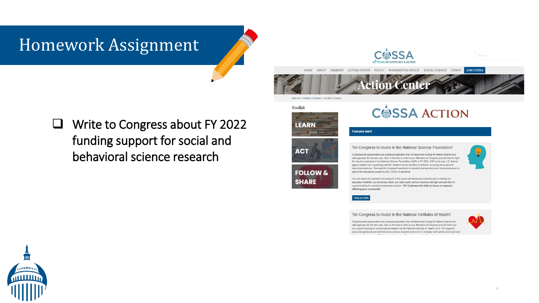## Homework Assignment



hon Center

HOME ABOUT MEMBERS ACTION CENTER POLICY WASHINGTON UPDATE SOCIAL SCIENCE EVENTS **JOIN COSSA** 

❑ Write to Congress about FY 2022 funding support for social and behavioral science research



**ACT** 

**FOLLOW &** 

**SHARE** 

Home » Action Center » Action Alerts

## COSSA ACTION

#### Tell Congress to Invest in the National Science Foundation!

Congressional appropriators are preparing legislation that will determine funding for federal science and data agencies for the next year. Now is the time to write to your Members of Congress and tell them to fight for robust investments in the National Science Foundation (NSF) in FY 2022. NSF is the only U.S. federal agency tasked with supporting scientific research across all fields of science, including the social and behavioral sciences. The need for increased investment in research has become even more pronounced in light of the disruptions caused by the COVID-19 pandemic

You can share the important role research in the social and behavioral sciences play in making our population healthier, our democracy fairer, our nation safer, and our economy stronger and ask them to support funding for social and behavioral science. TIP: Customize the letter to focus on research affecting your community!

**TAKE ACTION** 

**Featured Alert** 

#### Tell Congress to Invest in the National Institutes of Health!

Congressional appropriators are preparing legislation that will determine funding for federal science and data agencies for the next year. Now is the time to write to your Members of Congress and tell them why you support funding for social science research at the National Institutes of Health (NIH). NIH supports basic and applied social and behavioral science research across its 27 institutes and centers and social and



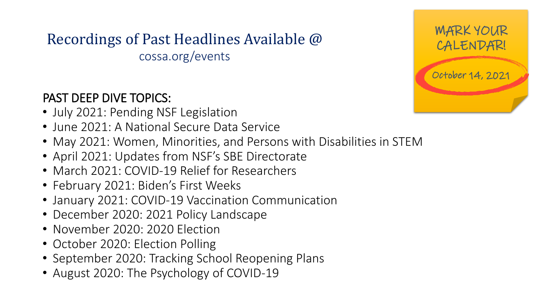## Recordings of Past Headlines Available @ cossa.org/events

## PAST DEEP DIVE TOPICS:

- July 2021: Pending NSF Legislation
- June 2021: A National Secure Data Service
- May 2021: Women, Minorities, and Persons with Disabilities in STEM
- April 2021: Updates from NSF's SBE Directorate
- March 2021: COVID-19 Relief for Researchers
- February 2021: Biden's First Weeks
- January 2021: COVID-19 Vaccination Communication
- December 2020: 2021 Policy Landscape
- November 2020: 2020 Election
- October 2020: Election Polling
- September 2020: Tracking School Reopening Plans
- August 2020: The Psychology of COVID-19